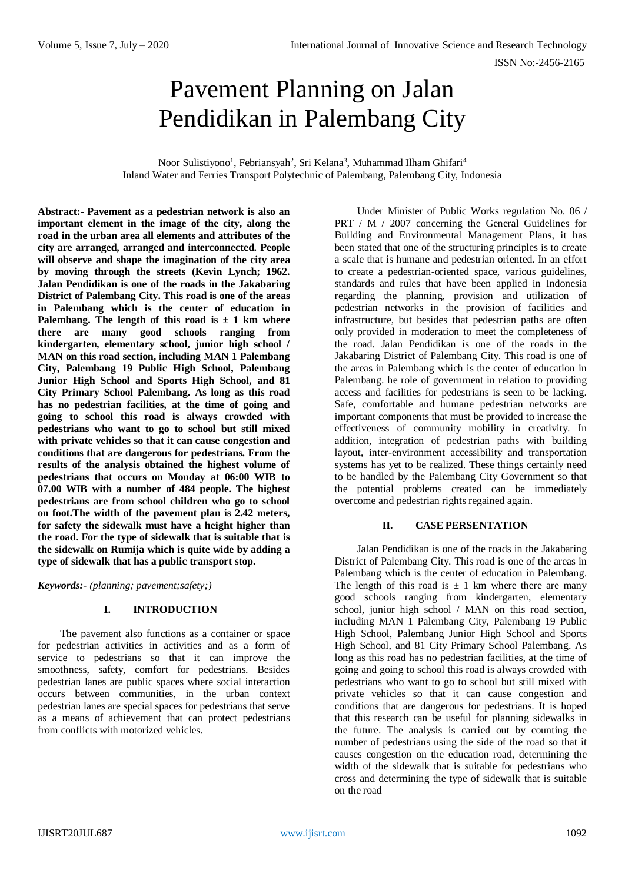# Pavement Planning on Jalan Pendidikan in Palembang City

Noor Sulistiyono<sup>1</sup>, Febriansyah<sup>2</sup>, Sri Kelana<sup>3</sup>, Muhammad Ilham Ghifari<sup>4</sup> Inland Water and Ferries Transport Polytechnic of Palembang, Palembang City, Indonesia

**Abstract:- Pavement as a pedestrian network is also an important element in the image of the city, along the road in the urban area all elements and attributes of the city are arranged, arranged and interconnected. People will observe and shape the imagination of the city area by moving through the streets (Kevin Lynch; 1962. Jalan Pendidikan is one of the roads in the Jakabaring District of Palembang City. This road is one of the areas in Palembang which is the center of education in**  Palembang. The length of this road is  $\pm$  1 km where **there are many good schools ranging from kindergarten, elementary school, junior high school / MAN on this road section, including MAN 1 Palembang City, Palembang 19 Public High School, Palembang Junior High School and Sports High School, and 81 City Primary School Palembang. As long as this road has no pedestrian facilities, at the time of going and going to school this road is always crowded with pedestrians who want to go to school but still mixed with private vehicles so that it can cause congestion and conditions that are dangerous for pedestrians. From the results of the analysis obtained the highest volume of pedestrians that occurs on Monday at 06:00 WIB to 07.00 WIB with a number of 484 people. The highest pedestrians are from school children who go to school on foot.The width of the pavement plan is 2.42 meters, for safety the sidewalk must have a height higher than the road. For the type of sidewalk that is suitable that is the sidewalk on Rumija which is quite wide by adding a type of sidewalk that has a public transport stop.**

*Keywords:- (planning; pavement;safety;)*

## **I. INTRODUCTION**

The pavement also functions as a container or space for pedestrian activities in activities and as a form of service to pedestrians so that it can improve the smoothness, safety, comfort for pedestrians. Besides pedestrian lanes are public spaces where social interaction occurs between communities, in the urban context pedestrian lanes are special spaces for pedestrians that serve as a means of achievement that can protect pedestrians from conflicts with motorized vehicles.

Under Minister of Public Works regulation No. 06 / PRT / M / 2007 concerning the General Guidelines for Building and Environmental Management Plans, it has been stated that one of the structuring principles is to create a scale that is humane and pedestrian oriented. In an effort to create a pedestrian-oriented space, various guidelines, standards and rules that have been applied in Indonesia regarding the planning, provision and utilization of pedestrian networks in the provision of facilities and infrastructure, but besides that pedestrian paths are often only provided in moderation to meet the completeness of the road. Jalan Pendidikan is one of the roads in the Jakabaring District of Palembang City. This road is one of the areas in Palembang which is the center of education in Palembang. he role of government in relation to providing access and facilities for pedestrians is seen to be lacking. Safe, comfortable and humane pedestrian networks are important components that must be provided to increase the effectiveness of community mobility in creativity. In addition, integration of pedestrian paths with building layout, inter-environment accessibility and transportation systems has yet to be realized. These things certainly need to be handled by the Palembang City Government so that the potential problems created can be immediately overcome and pedestrian rights regained again.

## **II. CASE PERSENTATION**

Jalan Pendidikan is one of the roads in the Jakabaring District of Palembang City. This road is one of the areas in Palembang which is the center of education in Palembang. The length of this road is  $\pm$  1 km where there are many good schools ranging from kindergarten, elementary school, junior high school / MAN on this road section, including MAN 1 Palembang City, Palembang 19 Public High School, Palembang Junior High School and Sports High School, and 81 City Primary School Palembang. As long as this road has no pedestrian facilities, at the time of going and going to school this road is always crowded with pedestrians who want to go to school but still mixed with private vehicles so that it can cause congestion and conditions that are dangerous for pedestrians. It is hoped that this research can be useful for planning sidewalks in the future. The analysis is carried out by counting the number of pedestrians using the side of the road so that it causes congestion on the education road, determining the width of the sidewalk that is suitable for pedestrians who cross and determining the type of sidewalk that is suitable on the road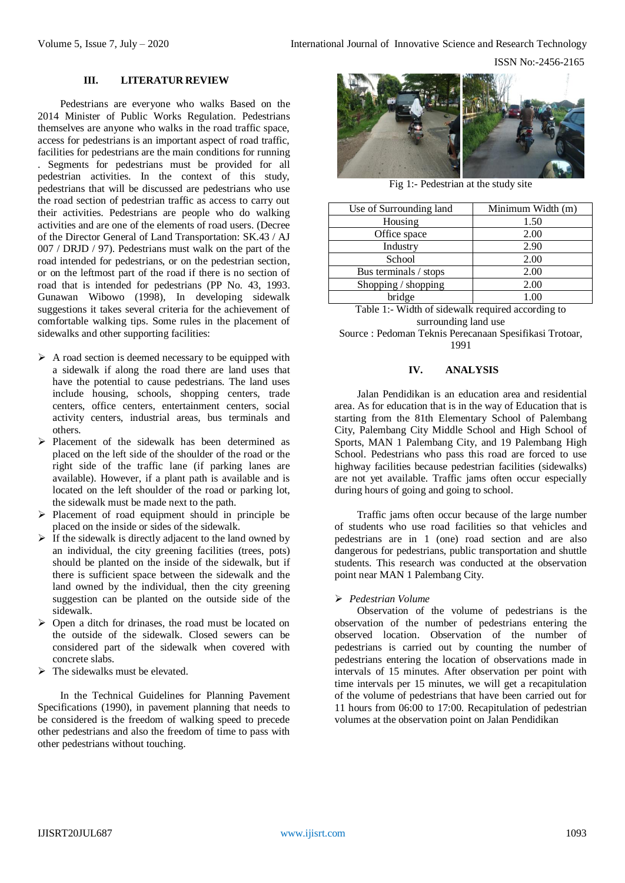ISSN No:-2456-2165

#### **III. LITERATUR REVIEW**

Pedestrians are everyone who walks Based on the 2014 Minister of Public Works Regulation. Pedestrians themselves are anyone who walks in the road traffic space, access for pedestrians is an important aspect of road traffic, facilities for pedestrians are the main conditions for running . Segments for pedestrians must be provided for all pedestrian activities. In the context of this study, pedestrians that will be discussed are pedestrians who use the road section of pedestrian traffic as access to carry out their activities. Pedestrians are people who do walking activities and are one of the elements of road users. (Decree of the Director General of Land Transportation: SK.43 / AJ 007 / DRJD / 97). Pedestrians must walk on the part of the road intended for pedestrians, or on the pedestrian section, or on the leftmost part of the road if there is no section of road that is intended for pedestrians (PP No. 43, 1993. Gunawan Wibowo (1998), In developing sidewalk suggestions it takes several criteria for the achievement of comfortable walking tips. Some rules in the placement of sidewalks and other supporting facilities:

- $\triangleright$  A road section is deemed necessary to be equipped with a sidewalk if along the road there are land uses that have the potential to cause pedestrians. The land uses include housing, schools, shopping centers, trade centers, office centers, entertainment centers, social activity centers, industrial areas, bus terminals and others.
- $\triangleright$  Placement of the sidewalk has been determined as placed on the left side of the shoulder of the road or the right side of the traffic lane (if parking lanes are available). However, if a plant path is available and is located on the left shoulder of the road or parking lot, the sidewalk must be made next to the path.
- $\triangleright$  Placement of road equipment should in principle be placed on the inside or sides of the sidewalk.
- $\triangleright$  If the sidewalk is directly adjacent to the land owned by an individual, the city greening facilities (trees, pots) should be planted on the inside of the sidewalk, but if there is sufficient space between the sidewalk and the land owned by the individual, then the city greening suggestion can be planted on the outside side of the sidewalk.
- $\triangleright$  Open a ditch for drinases, the road must be located on the outside of the sidewalk. Closed sewers can be considered part of the sidewalk when covered with concrete slabs.
- $\triangleright$  The sidewalks must be elevated.

In the Technical Guidelines for Planning Pavement Specifications (1990), in pavement planning that needs to be considered is the freedom of walking speed to precede other pedestrians and also the freedom of time to pass with other pedestrians without touching.



Fig 1:- Pedestrian at the study site

| Use of Surrounding land | Minimum Width (m) |
|-------------------------|-------------------|
| Housing                 | 1.50              |
| Office space            | 2.00              |
| Industry                | 2.90              |
| School                  | 2.00              |
| Bus terminals / stops   | 2.00              |
| Shopping / shopping     | 2.00              |
| bridge                  | 1.00              |

Table 1:- Width of sidewalk required according to surrounding land use

Source : Pedoman Teknis Perecanaan Spesifikasi Trotoar, 1991

#### **IV. ANALYSIS**

Jalan Pendidikan is an education area and residential area. As for education that is in the way of Education that is starting from the 81th Elementary School of Palembang City, Palembang City Middle School and High School of Sports, MAN 1 Palembang City, and 19 Palembang High School. Pedestrians who pass this road are forced to use highway facilities because pedestrian facilities (sidewalks) are not yet available. Traffic jams often occur especially during hours of going and going to school.

Traffic jams often occur because of the large number of students who use road facilities so that vehicles and pedestrians are in 1 (one) road section and are also dangerous for pedestrians, public transportation and shuttle students. This research was conducted at the observation point near MAN 1 Palembang City.

#### *Pedestrian Volume*

Observation of the volume of pedestrians is the observation of the number of pedestrians entering the observed location. Observation of the number of pedestrians is carried out by counting the number of pedestrians entering the location of observations made in intervals of 15 minutes. After observation per point with time intervals per 15 minutes, we will get a recapitulation of the volume of pedestrians that have been carried out for 11 hours from 06:00 to 17:00. Recapitulation of pedestrian volumes at the observation point on Jalan Pendidikan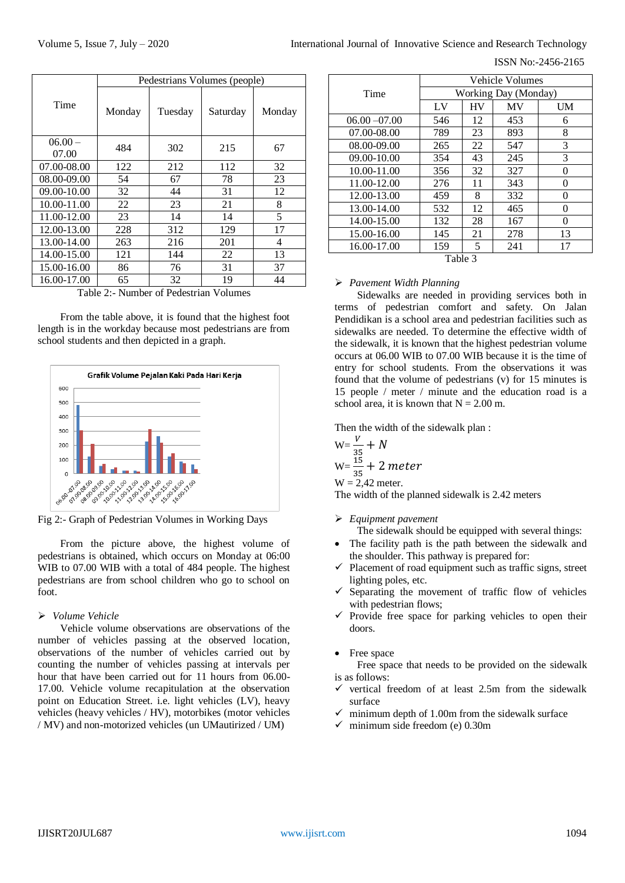|             | Pedestrians Volumes (people) |         |          |        |  |
|-------------|------------------------------|---------|----------|--------|--|
| Time        | Monday                       | Tuesday | Saturday | Monday |  |
| $06.00 -$   | 484                          | 302     | 215      | 67     |  |
| 07.00       |                              |         |          |        |  |
| 07.00-08.00 | 122                          | 212     | 112      | 32     |  |
| 08.00-09.00 | 54                           | 67      | 78       | 23     |  |
| 09.00-10.00 | 32                           | 44      | 31       | 12     |  |
| 10.00-11.00 | 22                           | 23      | 21       | 8      |  |
| 11.00-12.00 | 23                           | 14      | 14       | 5      |  |
| 12.00-13.00 | 228                          | 312     | 129      | 17     |  |
| 13.00-14.00 | 263                          | 216     | 201      | 4      |  |
| 14.00-15.00 | 121                          | 144     | 22       | 13     |  |
| 15.00-16.00 | 86                           | 76      | 31       | 37     |  |
| 16.00-17.00 | 65                           | 32      | 19       | 44     |  |

Table 2:- Number of Pedestrian Volumes

From the table above, it is found that the highest foot length is in the workday because most pedestrians are from school students and then depicted in a graph.



From the picture above, the highest volume of pedestrians is obtained, which occurs on Monday at 06:00 WIB to 07.00 WIB with a total of 484 people. The highest pedestrians are from school children who go to school on foot.

#### *Volume Vehicle*

Vehicle volume observations are observations of the number of vehicles passing at the observed location, observations of the number of vehicles carried out by counting the number of vehicles passing at intervals per hour that have been carried out for 11 hours from 06.00- 17.00. Vehicle volume recapitulation at the observation point on Education Street. i.e. light vehicles (LV), heavy vehicles (heavy vehicles / HV), motorbikes (motor vehicles / MV) and non-motorized vehicles (un UMautirized / UM)

ISSN No:-2456-2165

|                 | Vehicle Volumes      |           |           |          |  |  |
|-----------------|----------------------|-----------|-----------|----------|--|--|
| Time            | Working Day (Monday) |           |           |          |  |  |
|                 | LV                   | <b>HV</b> | <b>MV</b> | UM       |  |  |
| $06.00 - 07.00$ | 546                  | 12        | 453       | 6        |  |  |
| 07.00-08.00     | 789                  | 23        | 893       | 8        |  |  |
| 08.00-09.00     | 265                  | 22        | 547       | 3        |  |  |
| 09.00-10.00     | 354                  | 43        | 245       | 3        |  |  |
| 10.00-11.00     | 356                  | 32        | 327       | $\Omega$ |  |  |
| 11.00-12.00     | 276                  | 11        | 343       | 0        |  |  |
| 12.00-13.00     | 459                  | 8         | 332       | 0        |  |  |
| 13.00-14.00     | 532                  | 12        | 465       | 0        |  |  |
| 14.00-15.00     | 132                  | 28        | 167       | 0        |  |  |
| 15.00-16.00     | 145                  | 21        | 278       | 13       |  |  |
| 16.00-17.00     | 159                  | 5         | 241       | 17       |  |  |
| Table 3         |                      |           |           |          |  |  |

#### *Pavement Width Planning*

Sidewalks are needed in providing services both in terms of pedestrian comfort and safety. On Jalan Pendidikan is a school area and pedestrian facilities such as sidewalks are needed. To determine the effective width of the sidewalk, it is known that the highest pedestrian volume occurs at 06.00 WIB to 07.00 WIB because it is the time of entry for school students. From the observations it was found that the volume of pedestrians (v) for 15 minutes is 15 people / meter / minute and the education road is a school area, it is known that  $N = 2.00$  m.

Then the width of the sidewalk plan :

$$
W = \frac{V}{35} + N
$$
  
\n
$$
W = \frac{15}{35} + 2 \text{ meter}
$$
  
\n
$$
W = 2.42 \text{ meter.}
$$

The width of the planned sidewalk is 2.42 meters

- *Equipment pavement*
	- The sidewalk should be equipped with several things:
- The facility path is the path between the sidewalk and the shoulder. This pathway is prepared for:
- $\checkmark$  Placement of road equipment such as traffic signs, street lighting poles, etc.
- $\checkmark$  Separating the movement of traffic flow of vehicles with pedestrian flows;
- $\checkmark$  Provide free space for parking vehicles to open their doors.

#### • Free space

Free space that needs to be provided on the sidewalk is as follows:

- $\checkmark$  vertical freedom of at least 2.5m from the sidewalk surface
- minimum depth of 1.00m from the sidewalk surface
- $\checkmark$  minimum side freedom (e) 0.30m